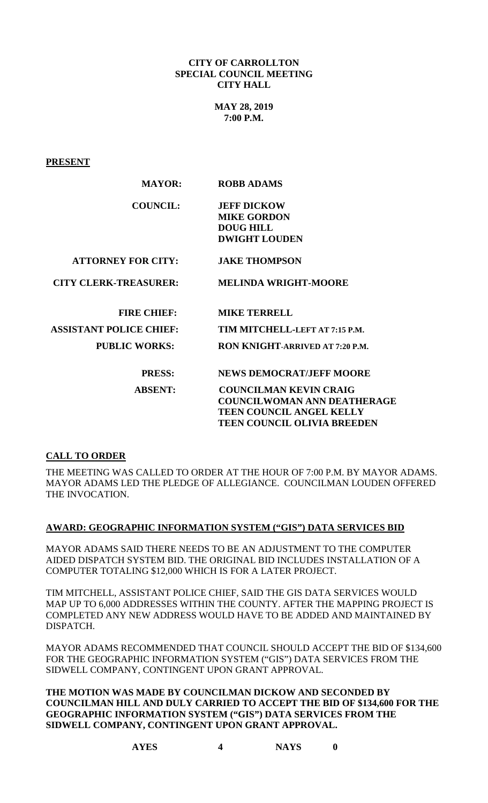### **CITY OF CARROLLTON SPECIAL COUNCIL MEETING CITY HALL**

**MAY 28, 2019 7:00 P.M.**

**PRESENT**

| <b>MAYOR:</b>                  | <b>ROBB ADAMS</b>                      |
|--------------------------------|----------------------------------------|
| <b>COUNCIL:</b>                | <b>JEFF DICKOW</b>                     |
|                                | <b>MIKE GORDON</b>                     |
|                                | <b>DOUG HILL</b>                       |
|                                | <b>DWIGHT LOUDEN</b>                   |
| <b>ATTORNEY FOR CITY:</b>      | <b>JAKE THOMPSON</b>                   |
| <b>CITY CLERK-TREASURER:</b>   | <b>MELINDA WRIGHT-MOORE</b>            |
| <b>FIRE CHIEF:</b>             | <b>MIKE TERRELL</b>                    |
| <b>ASSISTANT POLICE CHIEF:</b> | TIM MITCHELL-LEFT AT 7:15 P.M.         |
| <b>PUBLIC WORKS:</b>           | <b>RON KNIGHT-ARRIVED AT 7:20 P.M.</b> |
| <b>PRESS:</b>                  | <b>NEWS DEMOCRAT/JEFF MOORE</b>        |
| <b>ABSENT:</b>                 | <b>COUNCILMAN KEVIN CRAIG</b>          |
|                                | <b>COUNCILWOMAN ANN DEATHERAGE</b>     |
|                                | <b>TEEN COUNCIL ANGEL KELLY</b>        |
|                                | <b>TEEN COUNCIL OLIVIA BREEDEN</b>     |

# **CALL TO ORDER**

THE MEETING WAS CALLED TO ORDER AT THE HOUR OF 7:00 P.M. BY MAYOR ADAMS. MAYOR ADAMS LED THE PLEDGE OF ALLEGIANCE. COUNCILMAN LOUDEN OFFERED THE INVOCATION.

### **AWARD: GEOGRAPHIC INFORMATION SYSTEM ("GIS") DATA SERVICES BID**

MAYOR ADAMS SAID THERE NEEDS TO BE AN ADJUSTMENT TO THE COMPUTER AIDED DISPATCH SYSTEM BID. THE ORIGINAL BID INCLUDES INSTALLATION OF A COMPUTER TOTALING \$12,000 WHICH IS FOR A LATER PROJECT.

TIM MITCHELL, ASSISTANT POLICE CHIEF, SAID THE GIS DATA SERVICES WOULD MAP UP TO 6,000 ADDRESSES WITHIN THE COUNTY. AFTER THE MAPPING PROJECT IS COMPLETED ANY NEW ADDRESS WOULD HAVE TO BE ADDED AND MAINTAINED BY DISPATCH.

MAYOR ADAMS RECOMMENDED THAT COUNCIL SHOULD ACCEPT THE BID OF \$134,600 FOR THE GEOGRAPHIC INFORMATION SYSTEM ("GIS") DATA SERVICES FROM THE SIDWELL COMPANY, CONTINGENT UPON GRANT APPROVAL.

**THE MOTION WAS MADE BY COUNCILMAN DICKOW AND SECONDED BY COUNCILMAN HILL AND DULY CARRIED TO ACCEPT THE BID OF \$134,600 FOR THE GEOGRAPHIC INFORMATION SYSTEM ("GIS") DATA SERVICES FROM THE SIDWELL COMPANY, CONTINGENT UPON GRANT APPROVAL.**

**AYES 4 NAYS 0**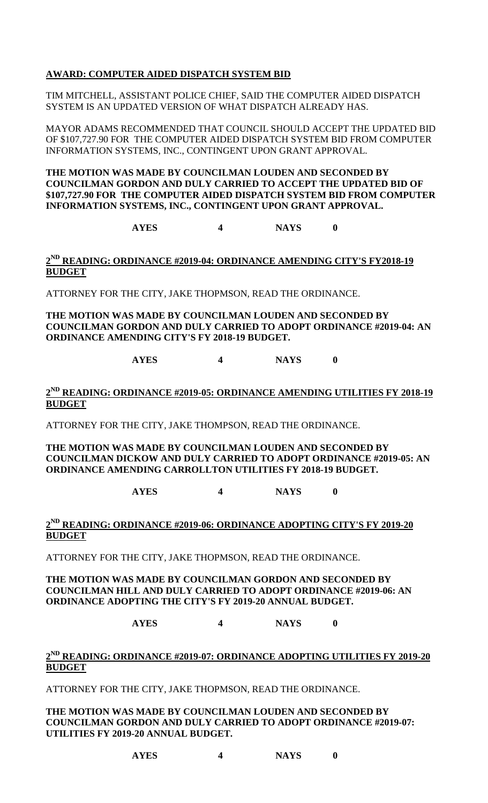# **AWARD: COMPUTER AIDED DISPATCH SYSTEM BID**

TIM MITCHELL, ASSISTANT POLICE CHIEF, SAID THE COMPUTER AIDED DISPATCH SYSTEM IS AN UPDATED VERSION OF WHAT DISPATCH ALREADY HAS.

MAYOR ADAMS RECOMMENDED THAT COUNCIL SHOULD ACCEPT THE UPDATED BID OF \$107,727.90 FOR THE COMPUTER AIDED DISPATCH SYSTEM BID FROM COMPUTER INFORMATION SYSTEMS, INC., CONTINGENT UPON GRANT APPROVAL.

**THE MOTION WAS MADE BY COUNCILMAN LOUDEN AND SECONDED BY COUNCILMAN GORDON AND DULY CARRIED TO ACCEPT THE UPDATED BID OF \$107,727.90 FOR THE COMPUTER AIDED DISPATCH SYSTEM BID FROM COMPUTER INFORMATION SYSTEMS, INC., CONTINGENT UPON GRANT APPROVAL.**

**AYES 4 NAYS 0**

### **2ND READING: ORDINANCE #2019-04: ORDINANCE AMENDING CITY'S FY2018-19 BUDGET**

ATTORNEY FOR THE CITY, JAKE THOPMSON, READ THE ORDINANCE.

**THE MOTION WAS MADE BY COUNCILMAN LOUDEN AND SECONDED BY COUNCILMAN GORDON AND DULY CARRIED TO ADOPT ORDINANCE #2019-04: AN ORDINANCE AMENDING CITY'S FY 2018-19 BUDGET.**

**AYES 4 NAYS 0**

# **2ND READING: ORDINANCE #2019-05: ORDINANCE AMENDING UTILITIES FY 2018-19 BUDGET**

ATTORNEY FOR THE CITY, JAKE THOMPSON, READ THE ORDINANCE.

### **THE MOTION WAS MADE BY COUNCILMAN LOUDEN AND SECONDED BY COUNCILMAN DICKOW AND DULY CARRIED TO ADOPT ORDINANCE #2019-05: AN ORDINANCE AMENDING CARROLLTON UTILITIES FY 2018-19 BUDGET.**

**AYES 4 NAYS 0**

# **2ND READING: ORDINANCE #2019-06: ORDINANCE ADOPTING CITY'S FY 2019-20 BUDGET**

ATTORNEY FOR THE CITY, JAKE THOPMSON, READ THE ORDINANCE.

**THE MOTION WAS MADE BY COUNCILMAN GORDON AND SECONDED BY COUNCILMAN HILL AND DULY CARRIED TO ADOPT ORDINANCE #2019-06: AN ORDINANCE ADOPTING THE CITY'S FY 2019-20 ANNUAL BUDGET.**

**AYES 4 NAYS 0**

# **2ND READING: ORDINANCE #2019-07: ORDINANCE ADOPTING UTILITIES FY 2019-20 BUDGET**

ATTORNEY FOR THE CITY, JAKE THOPMSON, READ THE ORDINANCE.

**THE MOTION WAS MADE BY COUNCILMAN LOUDEN AND SECONDED BY COUNCILMAN GORDON AND DULY CARRIED TO ADOPT ORDINANCE #2019-07: UTILITIES FY 2019-20 ANNUAL BUDGET.**

**AYES 4 NAYS 0**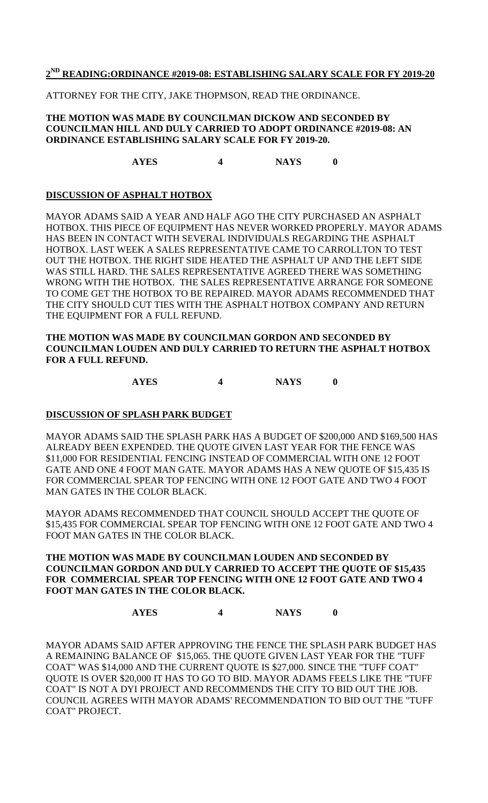### **2ND READING:ORDINANCE #2019-08: ESTABLISHING SALARY SCALE FOR FY 2019-20**

ATTORNEY FOR THE CITY, JAKE THOPMSON, READ THE ORDINANCE.

#### **THE MOTION WAS MADE BY COUNCILMAN DICKOW AND SECONDED BY COUNCILMAN HILL AND DULY CARRIED TO ADOPT ORDINANCE #2019-08: AN ORDINANCE ESTABLISHING SALARY SCALE FOR FY 2019-20.**

**AYES 4 NAYS 0**

# **DISCUSSION OF ASPHALT HOTBOX**

MAYOR ADAMS SAID A YEAR AND HALF AGO THE CITY PURCHASED AN ASPHALT HOTBOX. THIS PIECE OF EQUIPMENT HAS NEVER WORKED PROPERLY. MAYOR ADAMS HAS BEEN IN CONTACT WITH SEVERAL INDIVIDUALS REGARDING THE ASPHALT HOTBOX. LAST WEEK A SALES REPRESENTATIVE CAME TO CARROLLTON TO TEST OUT THE HOTBOX. THE RIGHT SIDE HEATED THE ASPHALT UP AND THE LEFT SIDE WAS STILL HARD. THE SALES REPRESENTATIVE AGREED THERE WAS SOMETHING WRONG WITH THE HOTBOX. THE SALES REPRESENTATIVE ARRANGE FOR SOMEONE TO COME GET THE HOTBOX TO BE REPAIRED. MAYOR ADAMS RECOMMENDED THAT THE CITY SHOULD CUT TIES WITH THE ASPHALT HOTBOX COMPANY AND RETURN THE EQUIPMENT FOR A FULL REFUND.

## **THE MOTION WAS MADE BY COUNCILMAN GORDON AND SECONDED BY COUNCILMAN LOUDEN AND DULY CARRIED TO RETURN THE ASPHALT HOTBOX FOR A FULL REFUND.**

**AYES 4 NAYS 0**

### **DISCUSSION OF SPLASH PARK BUDGET**

MAYOR ADAMS SAID THE SPLASH PARK HAS A BUDGET OF \$200,000 AND \$169,500 HAS ALREADY BEEN EXPENDED. THE QUOTE GIVEN LAST YEAR FOR THE FENCE WAS \$11,000 FOR RESIDENTIAL FENCING INSTEAD OF COMMERCIAL WITH ONE 12 FOOT GATE AND ONE 4 FOOT MAN GATE. MAYOR ADAMS HAS A NEW QUOTE OF \$15,435 IS FOR COMMERCIAL SPEAR TOP FENCING WITH ONE 12 FOOT GATE AND TWO 4 FOOT MAN GATES IN THE COLOR BLACK.

MAYOR ADAMS RECOMMENDED THAT COUNCIL SHOULD ACCEPT THE QUOTE OF \$15,435 FOR COMMERCIAL SPEAR TOP FENCING WITH ONE 12 FOOT GATE AND TWO 4 FOOT MAN GATES IN THE COLOR BLACK.

### **THE MOTION WAS MADE BY COUNCILMAN LOUDEN AND SECONDED BY COUNCILMAN GORDON AND DULY CARRIED TO ACCEPT THE QUOTE OF \$15,435 FOR COMMERCIAL SPEAR TOP FENCING WITH ONE 12 FOOT GATE AND TWO 4 FOOT MAN GATES IN THE COLOR BLACK.**

**AYES 4 NAYS 0**

MAYOR ADAMS SAID AFTER APPROVING THE FENCE THE SPLASH PARK BUDGET HAS A REMAINING BALANCE OF \$15,065. THE QUOTE GIVEN LAST YEAR FOR THE "TUFF COAT" WAS \$14,000 AND THE CURRENT QUOTE IS \$27,000. SINCE THE "TUFF COAT" QUOTE IS OVER \$20,000 IT HAS TO GO TO BID. MAYOR ADAMS FEELS LIKE THE "TUFF COAT" IS NOT A DYI PROJECT AND RECOMMENDS THE CITY TO BID OUT THE JOB. COUNCIL AGREES WITH MAYOR ADAMS' RECOMMENDATION TO BID OUT THE "TUFF COAT" PROJECT.